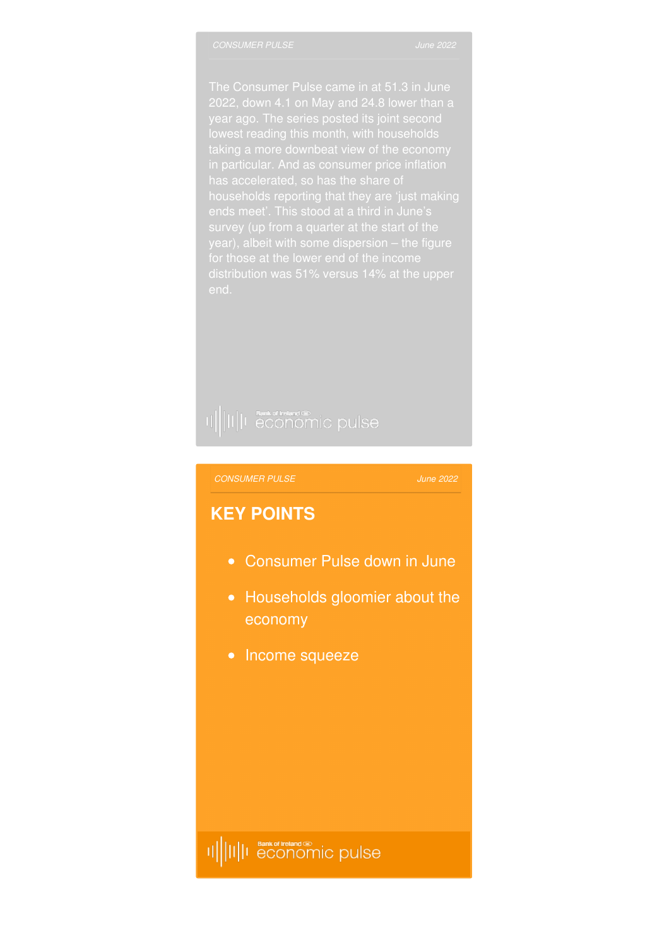has accelerated, so has the share of

## II||II||I economic pulse

#### *[CONSUMER](http://www.bankofirelandeconomicpulse.com/consumer/#overview) PULSE*

#### *June 2022*

#### **KEY POINTS**

- Consumer Pulse down in June
- Households gloomier about the economy
- Income squeeze

##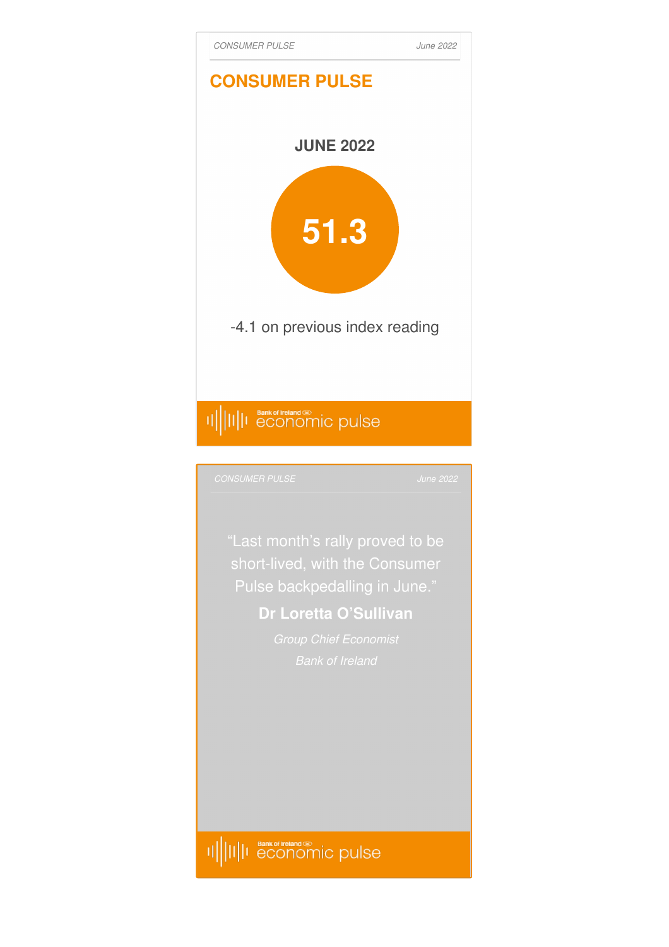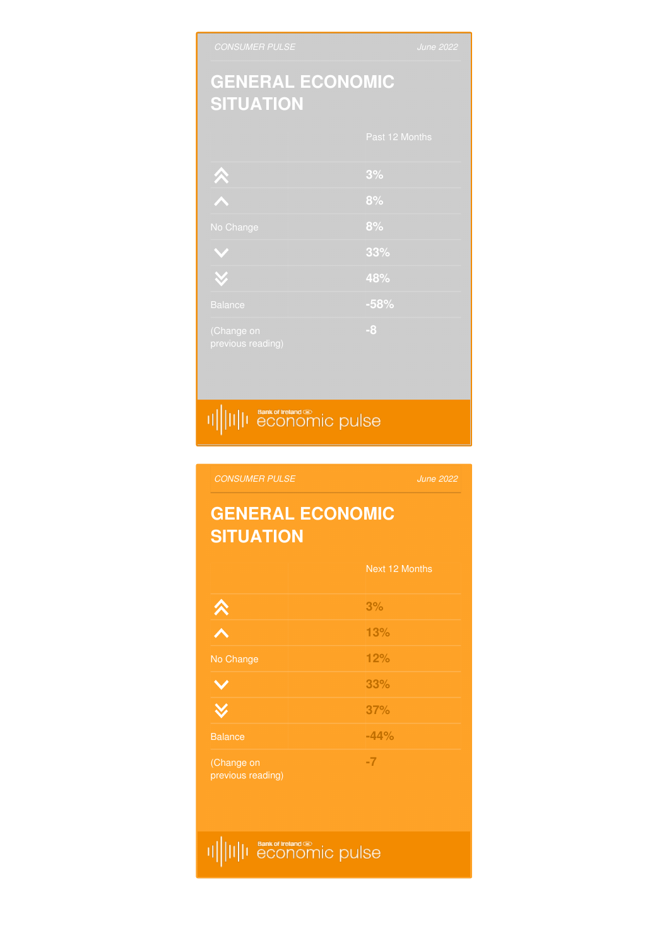# II||II||I Bankof treland

|                                 | Next 12 Months |
|---------------------------------|----------------|
| $\hat{\mathbf{v}}$              | 3%             |
|                                 | 13%            |
| No Change                       | 12%            |
|                                 | 33%            |
|                                 | 37%            |
| <b>Balance</b>                  | $-44%$         |
| (Change on<br>previous reading) | $-7$           |

### **GENERAL ECONOMIC SITUATION**

*June 2022*

## II||II||I economic pulse

| <b>ULLANDII</b> U               |                |
|---------------------------------|----------------|
|                                 | Past 12 Months |
|                                 | 3%             |
|                                 | 8%             |
| No Change                       | 8%             |
| $\mathbf{v}$                    | 33%            |
| $\tilde{\mathbf{v}}$            | 48%            |
| <b>Balance</b>                  | $-58%$         |
| (Change on<br>previous reading) | $-8$           |

#### **GENERAL ECONOMIC SITUATION**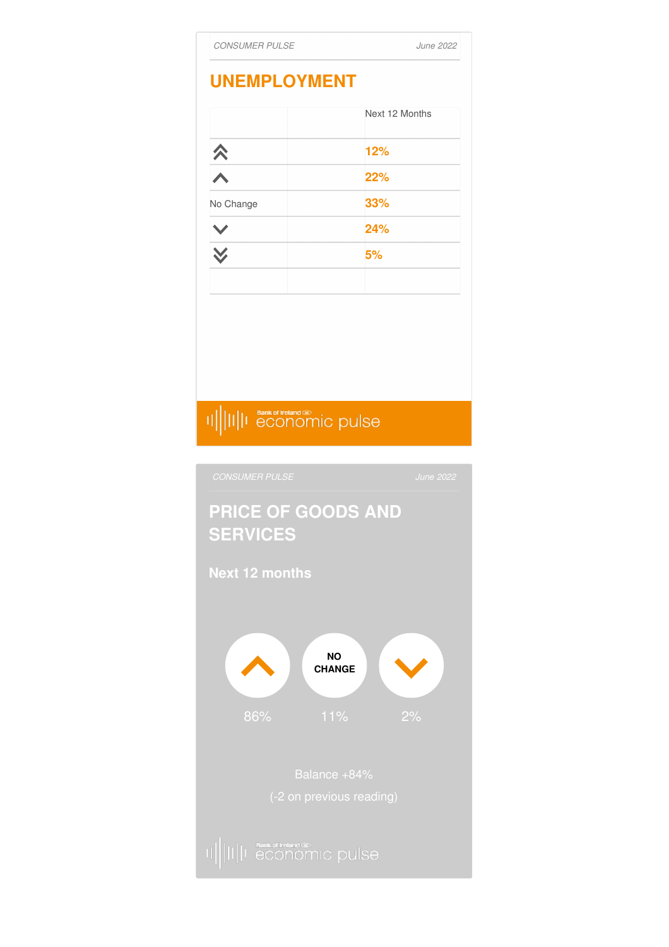

## 

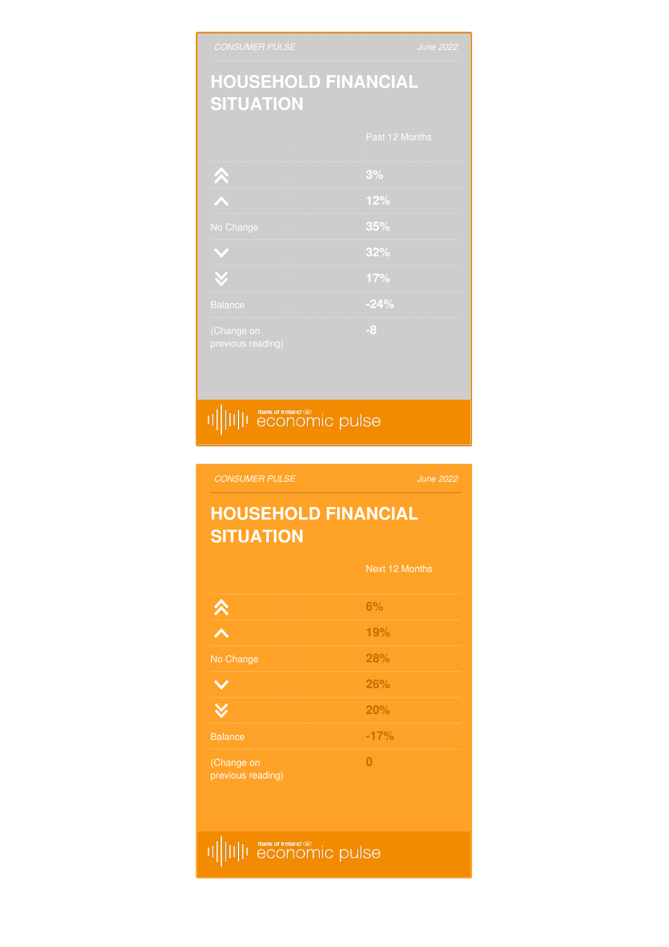## II||II||I Bankof treland

|                                 | Next 12 Months |
|---------------------------------|----------------|
| $\hat{\mathbf{v}}$              | 6%             |
|                                 | 19%            |
| No Change                       | 28%            |
|                                 | 26%            |
|                                 | 20%            |
| <b>Balance</b>                  | $-17%$         |
| (Change on<br>previous reading) | 0              |

#### **HOUSEHOLD FINANCIAL SITUATION**

*June 2022*

## 

|                                 | Past 12 Months |
|---------------------------------|----------------|
|                                 | 3%             |
|                                 | 12%            |
| No Change                       | 35%            |
|                                 | 32%            |
| $\checkmark$                    | 17%            |
| <b>Balance</b>                  | $-24%$         |
| (Change on<br>previous reading) | $-8$           |

### **HOUSEHOLD FINANCIAL SITUATION**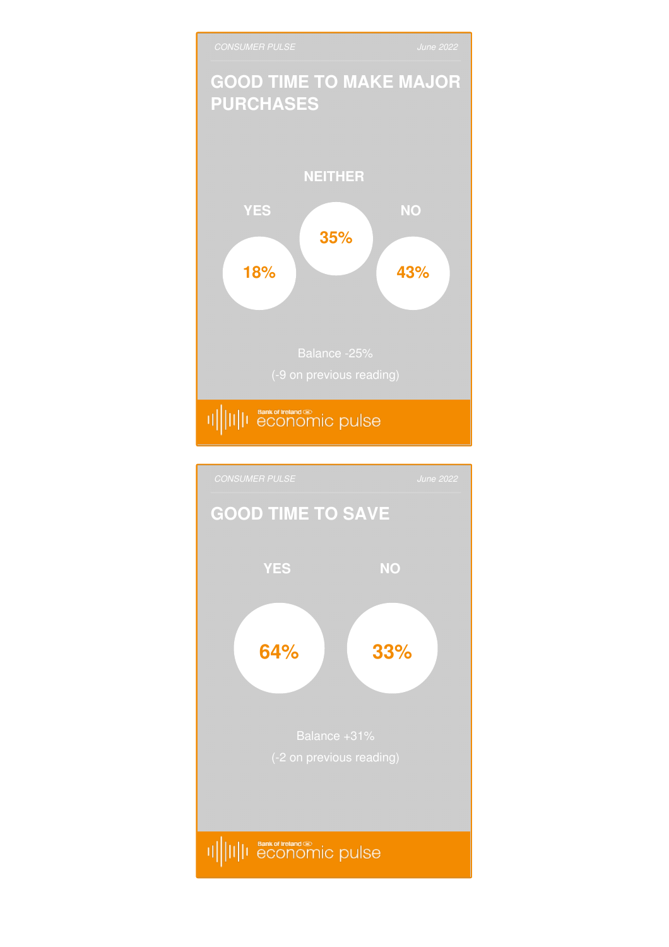